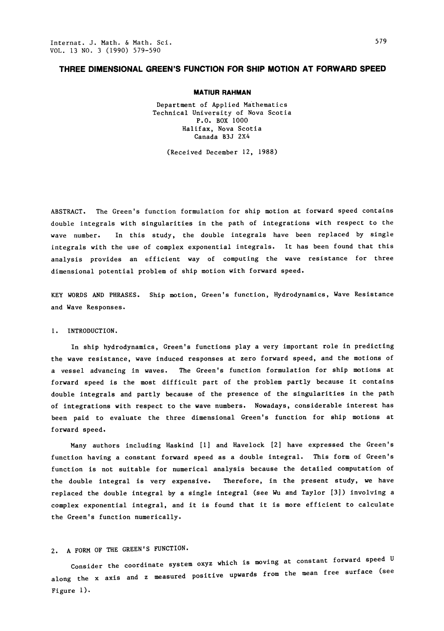### THREE DIMENSIONAL GREEN'S FUNCTION FOR SHIP MOTION AT FORWARD SPEED

#### MATIUR RAHMAN

Department of Applied Mathematics Technical University of Nova Scotia P.O. BOX I000 Halifax, Nova Scotia Canada B3J 2X4

(Received December 12, 1988)

ABSTRACT. The Green's function formulation for ship motion at forward speed contains double integrals with singularities in the path of integrations with respect to the wave number. In this study, the double integrals have been replaced by single integrals with the use of complex exponential integrals. It has been found that this analysis provides an efficient way of computing the wave resistance for three dimensional potential problem of ship motion with forward speed.

KEY WORDS AND PHRASES. Ship motion, Green's function, Hydrodynamics, Wave Resistance and Wave Responses.

#### I. INTRODUCTION.

In ship hydrodynamics, Green's functions play a very important role in predicting the wave resistance, wave induced responses at zero forward speed, and the motions of a vessel advancing in waves. The Green's function formulation for ship motions at forward speed is the most difficult part of the problem partly because it contains double integrals and partly because of the presence of the singularities in the path of integrations with respect to the wave numbers. Nowadays, considerable interest has been paid to evaluate the three dimensional Green's function for ship motions at forward speed.

Many authors including Haskind [I] and Havelock [2] have expressed the Green's function having a constant forward speed as a double integral. This form of Green's function is not suitable for numerical analysis because the detailed computation of the double integral is very expensive. Therefore, in the present study, we have replaced the double integral by a single integral (see Wu and Taylor [3]) involving a complex exponential integral, and it is found that it is more efficient to calculate the Green's function numerically.

# 2. A FORM OF THE GREEN'S FUNCTION.

Consider the coordinate system oxyz which is moving at constant forward speed <sup>U</sup> along the <sup>x</sup> axis and <sup>z</sup> measured positive upwards from the mean free surface (see Figure I).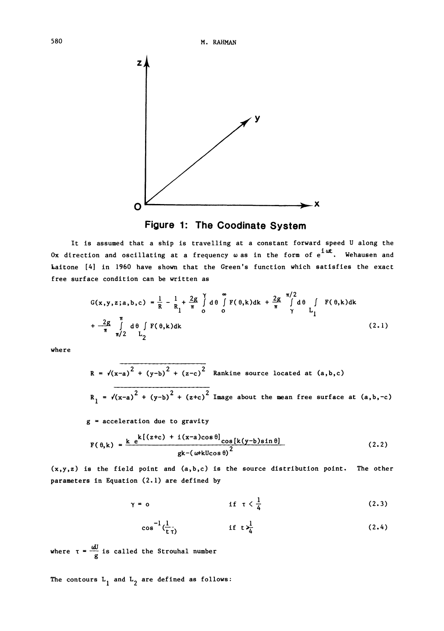



It is assumed that a ship is travelling at a constant forward speed U along the Ox direction and oscillating at a frequency  $\omega$  as in the form of  $e^{i\omega t}$ . Wehausen and Laitone [4] in 1960 have shown that the Green's function which satisfies the exact free surface condition can be written as

$$
G(x,y,z;a,b,c) = \frac{1}{R} - \frac{1}{R_1} + \frac{2g}{\pi} \int d\theta \int d\theta \int d\theta \int d\theta \int f(\theta,k)dk + \frac{2g}{\pi} \int d\theta \int f(\theta,k)dk + \frac{2g}{\pi} \int d\theta \int d\theta \int d\theta \int d\theta \int d\theta
$$
\n(2.1)

where

$$
R = \sqrt{(x-a)^2 + (y-b)^2 + (z-c)^2}
$$
 Rankine source located at  $(a,b,c)$   

$$
R_1 = \sqrt{(x-a)^2 + (y-b)^2 + (z+c)^2}
$$
 Image about the mean free surface at  $(a,b,-c)$ 

 $g = acceleration$  due to gravity

$$
F(\theta,k) = \frac{k e^{k[(z+c) + i(x-a)\cos\theta]} \cos[k(y-b)\sin\theta]}{gk - (\omega+kU\cos\theta)^2}
$$
 (2.2)

 $(x,y,z)$  is the field point and  $(a,b,c)$  is the source distribution point. The other parameters in Equation (2.1) are defined by

$$
\gamma = 0 \qquad \qquad \text{if } \tau \leq \frac{1}{4} \qquad \qquad (2.3)
$$

$$
\cos^{-1}(\frac{1}{t\tau}) \qquad \qquad \text{if } t \frac{1}{4} \qquad (2.4)
$$

where  $\tau = \frac{dJ}{g}$  is called the Strouhal number

The contours  $\tt L_1$  and  $\tt L_2$  are defined as follows: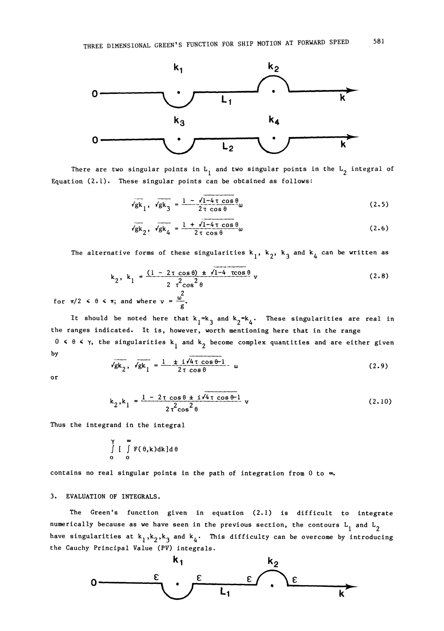

There are two singular points in  $\tt L_1$  and two singular points in the  $\tt L_2$  integral of Equation (2.1). These singular points can be obtained as follows:

$$
\sqrt{\mathbf{g}}\mathbf{k}_1, \quad \sqrt{\mathbf{g}}\mathbf{k}_3 = \frac{1 - \sqrt{1 - 4\tau \cos\theta}}{2\tau \cos\theta} \omega \tag{2.5}
$$

$$
\sqrt{gk}_2, \ \sqrt{gk}_4 = \frac{1 + \sqrt{1 - 4 \tau \cos \theta}}{2 \tau \cos \theta} \omega \tag{2.6}
$$

The alternative forms of these singularities  $\bm{{\mathsf{k}}}_1^{}$ ,  $\bm{{\mathsf{k}}}_2^{}$ ,  $\bm{{\mathsf{k}}}_3^{}$  and  $\bm{{\mathsf{k}}}_4^{}$  can be written as

$$
k_2, k_1 = \frac{(1 - 2 \tau \cos \theta) + \sqrt{1 - 4 \tau \cos \theta}}{2 \tau^2 \cos^2 \theta} \tag{2.8}
$$

for  $\pi/2 < \theta < \pi$ ; and where  $v = \frac{u^2}{g}$ .

It should be noted here that  $k_1 = k_3$  and  $k_2 = k_4$ . These singularities are real in the ranges indicated. It is, however, worth mentioning here that in the range  $0 \,$  <  $\theta$  <  $\gamma$ , the singularities  $\mathrm{k}_1$  and  $\mathrm{k}_2$  become complex quantities and are either given by

$$
\sqrt{g k_2}, \sqrt{g k_1} = \frac{1 + i \sqrt{4 \tau} \cos \theta - 1}{2 \tau \cos \theta} \quad \omega \tag{2.9}
$$

or

$$
k_2, k_1 = \frac{1 - 2\tau \cos \theta \pm i \sqrt{4\tau \cos \theta}}{2\tau^2 \cos^2 \theta} v
$$
 (2.10)

Thus the integrand in the integral

$$
\int\limits_{0}^{\gamma} \left[ \int\limits_{0}^{\infty} F(\theta, k) dk \right] d\theta
$$

contains no real singular points in the path of integration from  $0$  to  $\infty$ .

#### 3. EVALUATION OF INTEGRALS.

The Green's function given in equation (2. I) is difficult to integrate numerically because as we have seen in the previous section, the contours  $\tt L_{1}$  and  $\tt L_{2}$ have singularities at  $\textsf{k}_1^{},\textsf{k}_2^{},\textsf{k}_3^{}$  and  $\textsf{k}_4^{},\;$  This difficulty can be overcome by introducing the Cauchy Principal Value (PV) integrals.

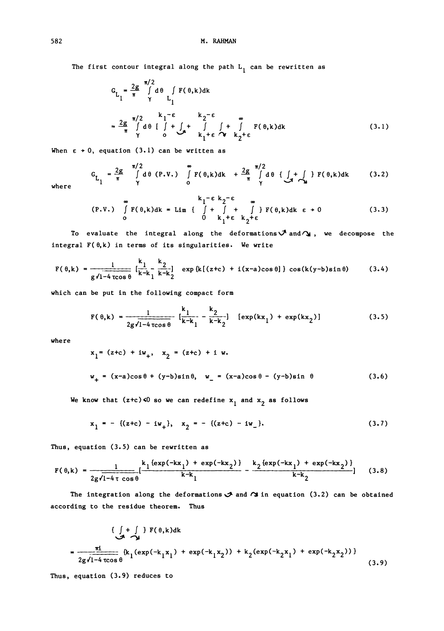The first contour integral along the path  $L_1$  can be rewritten as

$$
G_{L_1} = \frac{2g}{\pi} \int_{\gamma}^{\pi/2} d\theta \int_{L_1} F(\theta, k) dk
$$
  

$$
= \frac{2g}{\pi} \int_{\gamma}^{\pi/2} d\theta \int_{\gamma}^{\pi/2} f(\theta, k) d\theta
$$
  

$$
= \frac{2g}{\pi} \int_{\gamma}^{\pi/2} d\theta \int_{\gamma}^{\pi/2} f(\theta, k) d\theta + \int_{\pi}^{\pi} f(\theta, k) d\theta
$$
  

$$
= \frac{2g}{\pi} \int_{\gamma}^{\pi/2} d\theta \int_{\gamma}^{\pi} f(\theta, k) d\theta
$$
 (3.1)

When  $\epsilon \rightarrow 0$ , equation (3.1) can be written as

$$
G_{L_1} = \frac{2g}{\pi} \int_{\gamma}^{\pi/2} d\theta \quad (P.V.) \quad \int_{0}^{\infty} F(\theta,k)dk + \frac{2g}{\pi} \int_{\gamma}^{\pi/2} d\theta \quad \{ \int_{-\pi}^{\pi} f(\theta,k)dk \quad (3.2)
$$

where

$$
\begin{array}{ccc}\n\text{or} & k_1 = \varepsilon k_2 = \varepsilon & \text{or} \\
\text{(P.V.)} & \int F(\theta,k)dk = \lim_{\varepsilon \to 0} \left\{ \begin{array}{ccc} \int + \int + \int + \int \int F(\theta,k)dk & \varepsilon + 0 \\
0 & k_1 + \varepsilon & k_2 + \varepsilon\n\end{array} \right. \end{array} \tag{3.3}
$$

To evaluate the integral along the deformations  $\mathcal{J}$  and  $\gamma$ , we decompose the integral  $F(\theta, k)$  in terms of its singularities. We write

$$
F(\theta,k) = \frac{1}{g\sqrt{1-4\cos\theta}} \left[ \frac{k_1}{k-k_1} \frac{k_2}{k-k_2} \right] \exp\left\{ k \left[ (z+c) + i(x-a)\cos\theta \right] \right\} \cos(k(y-b)\sin\theta) \tag{3.4}
$$

which can be put in the following compact form

$$
F(\theta,k) = \frac{1}{2g\sqrt{1-4\cos\theta}} \left[ \frac{k_1}{k-k_1} - \frac{k_2}{k-k_2} \right] \left[ \exp(kx_1) + \exp(kx_2) \right] \tag{3.5}
$$

where

$$
x_1 = (z+c) + iw_+, x_2 = (z+c) + i w.
$$
  
 $w_+ = (x-a)\cos\theta + (y-b)\sin\theta, w_-= (x-a)\cos\theta - (y-b)\sin\theta$  (3.6)

We know that (z+c)<0 so we can redefine  $\mathbf{x}_1$  and  $\mathbf{x}_2$  as follows

$$
x_1 = -((z+c) - iw_+), x_2 = -((z+c) - iw_-).
$$
 (3.7)

Thus, equation (3.5) can be rewritten as

$$
F(\theta,k) = \frac{1}{2g\sqrt{1-4\tau \cos\theta}} \left[ \frac{k_1\{exp(-kx_1) + exp(-kx_2)\}}{k-k_1} - \frac{k_2\{exp(-kx_1) + exp(-kx_2)\}}{k-k_2} \right] \tag{3.8}
$$

The integration along the deformations  $\mathcal I$  and  $\mathcal I$  in equation (3.2) can be obtained according to the residue theorem. Thus

<sup>f</sup> + <sup>f</sup> F(8,k)dk 2g,/I-4 zcos O {kl(exp(-klXI) <sup>+</sup> exp(-klX2)) <sup>+</sup> k2(exp(-k2xI) <sup>+</sup> exp(-k2x2))} (3.9)

Thus, equation (3.9) reduces to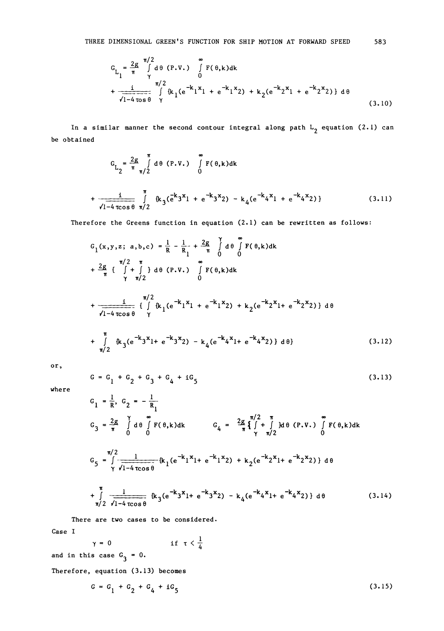$$
G_{L_1} = \frac{2g}{\pi} \int_{\gamma}^{\pi/2} d\theta (P.V.) \int_{0}^{\infty} F(\theta,k)dk + \frac{i}{\sqrt{1-4 \cos \theta} \gamma} \int_{\gamma}^{\pi/2} (k_1(e^{-k_1X_1} + e^{-k_1X_2}) + k_2(e^{-k_2X_1} + e^{-k_2X_2})) d\theta
$$
\n(3.10)

In a similar manner the second contour integral along path  $\tt L_{2}$  equation (2.1) can be obtained

$$
G_{L_2} = \frac{2g}{\pi} \int_{\pi/2}^{\pi} d\theta (P.V.) \int_{0}^{\infty} F(\theta, k) dk
$$
  
+ 
$$
\frac{i}{\sqrt{1-4\cos\theta}} \int_{\pi/2}^{\pi} \{k_3(e^{k_3x_1} + e^{-k_3x_2}) - k_4(e^{-k_4x_1} + e^{-k_4x_2})\}
$$
(3.11)

Therefore the Greens function in equation (2.1) can be rewritten as follows:

$$
G_{1}(x,y,z; a,b,c) = \frac{1}{R} - \frac{1}{R_{1}} + \frac{2g}{\pi} \int_{0}^{x} d\theta \int_{0}^{\infty} F(\theta,k)dk
$$
  
+ 
$$
\frac{2g}{\pi} \int_{\pi/2}^{\pi/2} \int_{\pi/2}^{\pi} \int_{0}^{\infty} d\theta (P.V.) \int_{0}^{\infty} F(\theta,k)dk
$$
  
+ 
$$
\frac{1}{\sqrt{1-4 \cos \theta}} \int_{\gamma}^{\pi/2} \{k_{1}(e^{-k_{1}x_{1}} + e^{-k_{1}x_{2}}) + k_{2}(e^{-k_{2}x_{1}} + e^{-k_{2}x_{2}})\} d\theta
$$
  
+ 
$$
\int_{\pi/2}^{\pi} \{k_{3}(e^{-k_{3}x_{1}} + e^{-k_{3}x_{2}}) - k_{4}(e^{-k_{4}x_{1}} + e^{-k_{4}x_{2}})\} d\theta
$$
 (3.12)

or

$$
G = G_1 + G_2 + G_3 + G_4 + iG_5 \tag{3.13}
$$

where

$$
G_{1} = \frac{1}{R}, G_{2} = -\frac{1}{R_{1}}
$$
\n
$$
G_{3} = \frac{2g}{\pi} \int_{0}^{\gamma} d\theta \int_{0}^{\infty} F(\theta, k) dk
$$
\n
$$
G_{4} = \frac{2g}{\pi} \int_{\gamma}^{\pi/2} \int_{\gamma}^{\pi} d\theta (P, V, \theta) \int_{0}^{\infty} F(\theta, k) dk
$$
\n
$$
G_{5} = \int_{\gamma}^{\pi/2} \frac{1}{\sqrt{1 - 4 \cos \theta}} \left( k_{1} (e^{-k_{1}x} 1 + e^{-k_{1}x} 2) + k_{2} (e^{-k_{2}x} 1 + e^{-k_{2}x} 2) \right) d\theta
$$
\n
$$
+ \int_{\pi/2}^{\pi} \frac{1}{\sqrt{1 - 4 \cos \theta}} \left( k_{3} (e^{-k_{3}x} 1 + e^{-k_{3}x} 2) - k_{4} (e^{-k_{4}x} 1 + e^{-k_{4}x} 2) \right) d\theta
$$
\n(3.14)

There are two cases to be considered.

Case I

$$
\gamma = 0 \qquad \text{if } \tau < \frac{1}{4}
$$

and in this case  $G_3 = 0$ .

Therefore, equation (3.13) becomes

$$
G = G_1 + G_2 + G_4 + iG_5 \tag{3.15}
$$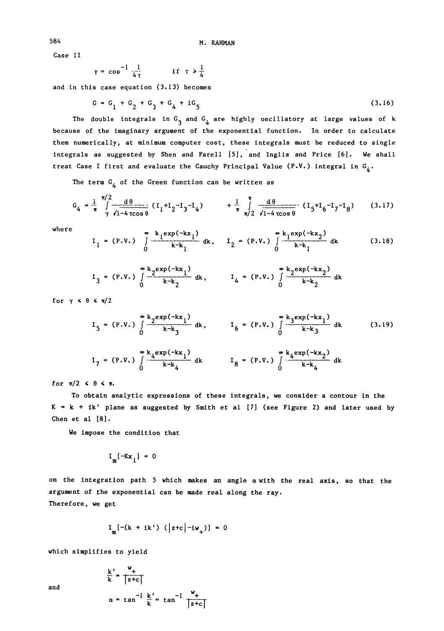Case II

$$
\gamma = \cos^{-1} \frac{1}{4\tau} \qquad \text{if } \tau > \frac{1}{4}
$$

and in this case equation (3.13) becomes

$$
G = G_1 + G_2 + G_3 + G_4 + iG_5 \tag{3.16}
$$

The double integrals in  ${\tt G}_{\tt j}$  and  ${\tt G}_{\tt 4}$  are highly oscillatory at large values of  ${\tt k}$ because of the imaginary argument of the exponential function. In order to calculate them numerically, at minimum computer cost, these integrals must be reduced to single integrals as suggested by Shen and Farell [5], and Inglis and Price [6]. We shall treat Case I first and evaluate the Cauchy Principal Value (P.V.) integral in  $\mathsf{G}_4^{}$ .

The term  $G_4$  of the Green function can be written as

$$
G_4 = \frac{1}{\pi} \int_{\gamma}^{\pi/2} \frac{d\theta}{\sqrt{1-4\cos\theta}} (I_1 + I_2 - I_3 - I_4) + \frac{1}{\pi} \int_{\pi/2}^{\pi} \frac{d\theta}{\sqrt{1-4\cos\theta}} (I_5 + I_6 - I_7 - I_8)
$$
(3.17)

where  
\n
$$
I_1 = (P.V.) \int_{0}^{\infty} \frac{k_1 \exp(-kx_1)}{k-k_1} dk, \quad I_2 = (P.V.) \int_{0}^{\infty} \frac{k_1 \exp(-kx_2)}{k-k_1} dk
$$
 (3.18)

$$
I_3 = (P.V.) \int_{0}^{\infty} \frac{k_2 \exp(-kx_1)}{k - k_2} dk
$$
,  $I_4 = (P.V.) \int_{0}^{\infty} \frac{k_2 \exp(-kx_2)}{k - k_2} dk$ 

for  $\gamma$   $\leq$   $\theta$   $\leq$   $\pi/2$ 

$$
I_{5} = (P.V.) \int_{0}^{\infty} \frac{k_{2}exp(-kx_{1})}{k-k_{3}} dk, \qquad I_{6} = (P.V.) \int_{0}^{\infty} \frac{k_{3}exp(-kx_{1})}{k-k_{3}} dk
$$
(3.19)  

$$
I_{7} = (P.V.) \int_{0}^{\infty} \frac{k_{4}exp(-kx_{1})}{k-k_{4}} dk \qquad I_{8} = (P.V.) \int_{0}^{\infty} \frac{k_{4}exp(-kx_{2})}{k-k_{4}} dk
$$

for  $\pi/2$   $\leq$   $\theta$   $\leq$   $\pi$ .

To obtain analytic expressions of these integrals, we consider a contour in the  $K = k + ik'$  plane as suggested by Smith et al  $[7]$  (see Figure 2) and later used by Chen et al [8].

We impose the condition that

$$
I_m[-Kx_1] = 0
$$

on the integration path 5 which makes an angle a with the real axis, so that the argument of the exponential can be made real along the ray. Therefore, we get

$$
I_{m}[-(k + ik') (\vert z+c \vert -iw_{+})] = 0
$$

which simplifies to yield

$$
\frac{k'}{k} = \frac{w_+}{|z+c|}
$$
\n
$$
\alpha = \tan^{-1} \frac{k'}{k} = \tan^{-1} \frac{w_+}{|z+c|}
$$

and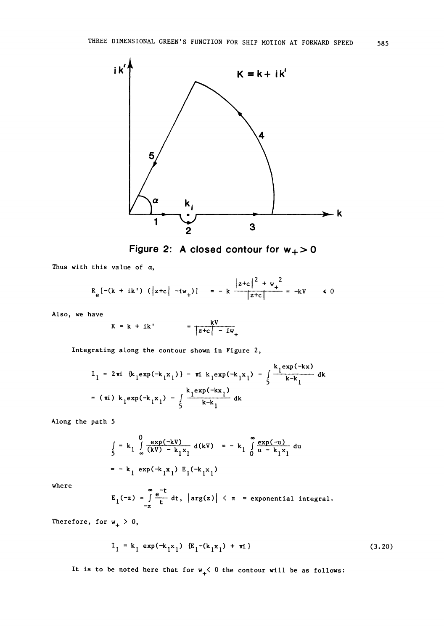

Figure 2: A closed contour for  $w_+>0$ 

Thus with this value of  $\alpha$ ,

$$
R_e[-(k + ik') (\vert z+c \vert -iw_+)] = -k \frac{\vert z+c \vert^2 + w_+^2}{\vert z+c \vert} = -kV \qquad \le 0
$$

Also, we have

$$
K = k + ik' = \frac{kV}{|z+c| - iw_+}
$$

Integrating along the contour shown in Figure 2,

$$
I_{1} = 2\pi i \{k_{1}exp(-k_{1}x_{1})\} - \pi i k_{1}exp(-k_{1}x_{1}) - \int_{5}^{k_{1}exp(-kx)} \frac{k_{1}exp(-kx)}{k-k_{1}} dk
$$
  
= (\pi i) k\_{1}exp(-k\_{1}x\_{1}) - \int\_{5}^{k\_{1}exp(-kx\_{1})} dk

Along the path 5

$$
\int_{5}^{1} = k_{1} \int_{-\infty}^{0} \frac{\exp(-kV)}{(kV) - k_{1}x_{1}} d(kV) = - k_{1} \int_{0}^{\infty} \frac{\exp(-u)}{u - k_{1}x_{1}} du
$$
\n
$$
= - k_{1} \exp(-k_{1}x_{1}) E_{1}(-k_{1}x_{1})
$$

where

 $E_1(-z) = \int_{-z}^{\infty} \frac{e^{-t}}{t} dt$ ,  $\left| \arg(z) \right| < \pi$  = exponential integral.

Therefore, for  $w_+ > 0$ ,

$$
I_1 = k_1 \exp(-k_1 x_1) \{E_1 - (k_1 x_1) + \pi i\}
$$
 (3.20)

It is to be noted here that for  $w_+$   $\leq$  0 the contour will be as follows: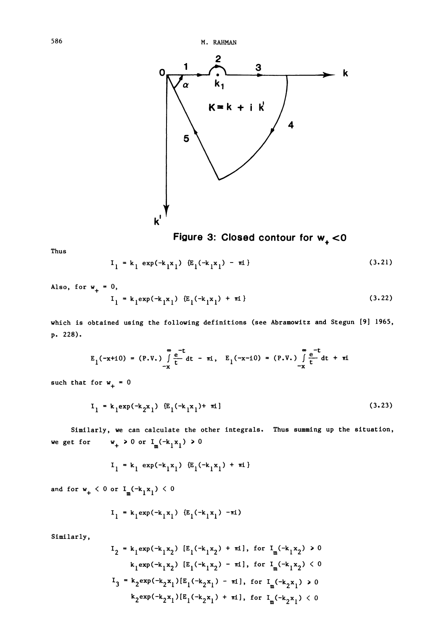586 M. RAHMAN



Figure 3: Closed contour for  $w<sub>+</sub> < 0$ 

Thus

$$
I_1 = k_1 \exp(-k_1 x_1) \{E_1(-k_1 x_1) - \pi i\}
$$
 (3.21)

Also, for  $w_+ = 0$ ,

$$
I_1 = k_1 \exp(-k_1 x_1) \{E_1(-k_1 x_1) + \pi i\}
$$
 (3.22)

which is obtained using the following definitions (see Abramowitz and Stegun [9] 1965, p. 228).

$$
E_1(-x+10) = (P.V.) \int_{-x}^{\infty} \frac{e^{-t}}{t} dt - \pi i, \quad E_1(-x-10) = (P.V.) \int_{-x}^{\infty} \frac{e^{-t}}{t} dt + \pi i
$$
  
for  $w_+ = 0$ 

such that for  $w_+ = 0$ 

$$
I_1 = k_1 exp(-k_2 x_1) {E_1(-k_1 x_1) + \pi i}
$$
 (3.23)

Similarly, we can calculate the other integrals. Thus summing up the situation, we get for  $w_+ > 0$  or  $I_m(-k_1x_1) > 0$ 

$$
I_1 = k_1 \exp(-k_1 x_1) \{E_1(-k_1 x_1) + \pi i\}
$$

and for  $w_+ < 0$  or  $I_m(-k_1x_1) < 0$ 

$$
I_1 = k_1 \exp(-k_1 x_1) \{E_1(-k_1 x_1) - \pi i\}
$$

Similarly,

$$
I_{2} = k_{1} exp(-k_{1}x_{2}) [E_{1}(-k_{1}x_{2}) + \pi i], \text{ for } I_{m}(-k_{1}x_{2}) > 0
$$
  
\n
$$
k_{1} exp(-k_{1}x_{2}) [E_{1}(-k_{1}x_{2}) - \pi i], \text{ for } I_{m}(-k_{1}x_{2}) < 0
$$
  
\n
$$
I_{3} = k_{2} exp(-k_{2}x_{1}) [E_{1}(-k_{2}x_{1}) - \pi i], \text{ for } I_{m}(-k_{2}x_{1}) > 0
$$
  
\n
$$
k_{2} exp(-k_{2}x_{1}) [E_{1}(-k_{2}x_{1}) + \pi i], \text{ for } I_{m}(-k_{2}x_{1}) < 0
$$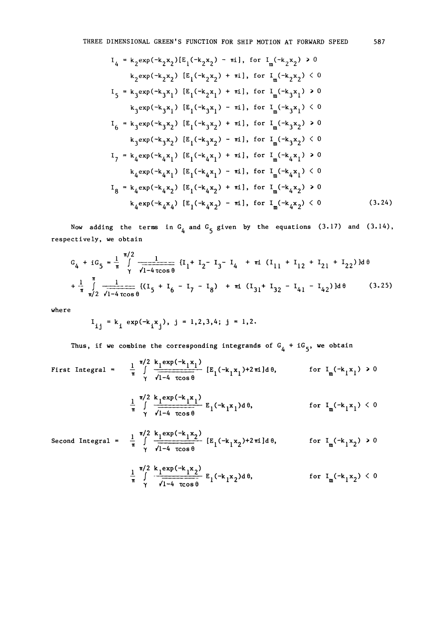$$
I_{4} = k_{2}exp(-k_{2}x_{2})[E_{1}(-k_{2}x_{2}) - ni], for I_{m}(-k_{2}x_{2}) > 0
$$
\n
$$
k_{2}exp(-k_{2}x_{2}) [E_{1}(-k_{2}x_{2}) + ni], for I_{m}(-k_{2}x_{2}) < 0
$$
\n
$$
I_{5} = k_{3}exp(-k_{3}x_{1}) [E_{1}(-k_{2}x_{1}) + ni], for I_{m}(-k_{3}x_{1}) > 0
$$
\n
$$
k_{3}exp(-k_{3}x_{1}) [E_{1}(-k_{3}x_{1}) - ni], for I_{m}(-k_{3}x_{1}) < 0
$$
\n
$$
I_{6} = k_{3}exp(-k_{3}x_{2}) [E_{1}(-k_{3}x_{2}) + ni], for I_{m}(-k_{3}x_{2}) > 0
$$
\n
$$
k_{3}exp(-k_{3}x_{2}) [E_{1}(-k_{3}x_{2}) - ni], for I_{m}(-k_{3}x_{2}) < 0
$$
\n
$$
I_{7} = k_{4}exp(-k_{4}x_{1}) [E_{1}(-k_{4}x_{1}) + ni], for I_{m}(-k_{4}x_{1}) > 0
$$
\n
$$
k_{4}exp(-k_{4}x_{1}) [E_{1}(-k_{4}x_{1}) - ni], for I_{m}(-k_{4}x_{1}) < 0
$$
\n
$$
I_{8} = k_{4}exp(-k_{4}x_{2}) [E_{1}(-k_{4}x_{2}) + ni], for I_{m}(-k_{4}x_{2}) > 0
$$
\n
$$
k_{4}exp(-k_{4}x_{4}) [E_{1}(-k_{4}x_{2}) - ni], for I_{m}(-k_{4}x_{2}) < 0
$$
\n
$$
k_{4}exp(-k_{4}x_{4}) [E_{1}(-k_{4}x_{2}) - ni], for I_{m}(-k_{4}x_{2}) < 0
$$
\n(3.24)

Now adding the terms in  $G_4$  and  $G_5$  given by the equations (3.17) and (3.14), respectively, we obtain

$$
G_4 + iG_5 = \frac{1}{\pi} \int_{\gamma}^{\pi/2} \frac{1}{\sqrt{1-4\cos\theta}} \left\{ I_1 + I_2 - I_3 - I_4 + \pi i \left( I_{11} + I_{12} + I_{21} + I_{22} \right) \right\} d\theta
$$
  
+ 
$$
\frac{1}{\pi} \int_{\pi/2}^{\pi} \frac{1}{\sqrt{1-4\cos\theta}} \left\{ \left( I_5 + I_6 - I_7 - I_8 \right) + \pi i \left( I_{31} + I_{32} - I_{41} - I_{42} \right) \right\} d\theta
$$
 (3.25)

where

$$
I_{ij} = k_i \exp(-k_i x_j), j = 1, 2, 3, 4; j = 1, 2.
$$

Thus, if we combine the corresponding integrands of  $G_{\bf 4}$  + i $G_{\bf 5}$ , we obtain

First Integral = 
$$
\frac{1}{\pi} \int_{\gamma}^{\pi/2} \frac{k_1 \exp(-k_1 x_1)}{\sqrt{1-4 \cos \theta}} \left[ E_1(-k_1 x_1) + 2 \pi i \right] d\theta, \quad \text{for } I_m(-k_1 x_1) > 0
$$

$$
\frac{1}{\pi}\int\limits_{\gamma}^{\pi/2}\frac{k_1\exp(-k_1x_1)}{\sqrt{1-4\;\cos\theta}} E_1(-k_1x_1)d\theta, \qquad \text{for } I_m(-k_1x_1) < 0
$$

Second Integral = 
$$
\frac{1}{\pi} \int_{\gamma}^{\pi/2} \frac{k_1 \exp(-k_1 x_2)}{\sqrt{1-4 \cos \theta}} [E_1(-k_1 x_2)^{12} \pi i] d\theta, \qquad \text{for } I_m(-k_1 x_2) > 0
$$

$$
\frac{1}{\pi} \int\limits_{\gamma}^{\pi/2} \frac{k_1 \exp(-k_1 x_2)}{\sqrt{1-4 \cos \theta}} E_1(-k_1 x_2) d\theta, \qquad \text{for } I_m(-k_1 x_2) < 0
$$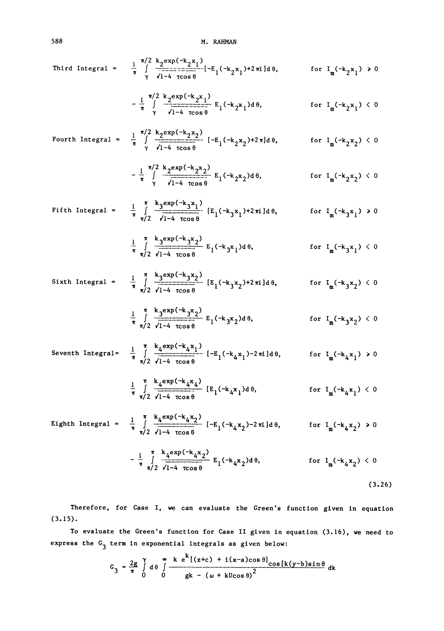Third Integral = 
$$
\frac{1}{\pi} \int_{\gamma}^{\pi/2} \frac{k_2 \exp(-k_2 x_1)}{\sqrt{1-4 \cos \theta}} [-E_1(-k_2 x_1) + 2\pi i] d\theta,
$$
 for  $I_m(-k_2 x_1) > 0$ 

$$
-\frac{1}{\pi}\int_{\gamma}^{\pi/2}\frac{k_2 \exp(-k_2 x_1)}{\sqrt{1-4\cos\theta}} E_1(-k_2 x_1) d\theta, \qquad \text{for } I_m(-k_2 x_1) < 0
$$

Fourth Integral =

\n
$$
\frac{1}{\pi} \int_{\gamma}^{\pi/2} \frac{k_2 \exp(-k_2 x_2)}{\sqrt{1-4 \cos \theta}} \left[ -E_1(-k_2 x_2) + 2 \pi \right] d\theta, \qquad \text{for } I_m(-k_2 x_2) < 0
$$

$$
-\frac{1}{\pi}\int\limits_{\gamma}^{\pi/2}\frac{k_{2}exp(-k_{2}x_{2})}{\sqrt{1-4\ \cos\theta}} E_{1}(-k_{2}x_{2})d\theta, \qquad \text{for } I_{m}(-k_{2}x_{2}) < 0
$$

Fifth Integral = 
$$
\frac{1}{\pi} \int_{\pi/2}^{\pi} \frac{k_3 \exp(-k_3 x_1)}{\sqrt{1-4 \cos \theta}}
$$
 [E<sub>1</sub>(-k<sub>3</sub>x<sub>1</sub>)+2 $\pi$ ]<sub>d</sub>θ, for I<sub>m</sub>(-k<sub>3</sub>x<sub>1</sub>) > 0

$$
\frac{1}{\pi} \int_{\pi/2}^{\pi} \frac{k_3 \exp(-k_3 x_2)}{\sqrt{1-4 \cos \theta}} E_1(-k_3 x_1) d\theta, \quad \text{for } I_m(-k_3 x_1) < 0
$$

Sixth Integral =

\n
$$
\frac{1}{\pi} \int_{\pi/2}^{\pi} \frac{k_3 \exp(-k_3 x_2)}{\sqrt{1-4} \cos \theta} \left[ E_1(-k_3 x_2) + 2 \pi i \right] d\theta,
$$
\nfor

\n
$$
I_m(-k_3 x_2) < 0
$$
\n
$$
I_m \exp(-k_3 x_2)
$$

$$
\frac{1}{\pi} \int_{\pi/2}^{\pi} \frac{k_3 \exp(-k_3 x_2)}{\sqrt{1-4 \cos \theta}} E_1(-k_3 x_2) d\theta, \qquad \text{for } I_m(-k_3 x_2) < 0
$$

Seventh Integral =

\n
$$
\frac{1}{\pi} \int_{\pi/2}^{\pi} \frac{k_4 \exp(-k_4 x_1)}{\sqrt{1-4 \cos \theta}} \left[ -E_1(-k_4 x_1) - 2\pi i \right] d\theta, \qquad \text{for } I_m(-k_4 x_1) > 0
$$

$$
\frac{1}{\pi}\int\limits_{\pi/2}^{\pi}\frac{k_4\exp(-k_4x_4)}{\sqrt{1-4\;\cos\theta}}\;[E_1(-k_4x_1)d\theta,\qquad \qquad \text{for}\;\; I_m(-k_4x_1)<0
$$

Eighth Integral = 
$$
\frac{1}{\pi} \int_{\pi/2}^{\pi} \frac{k_4 \exp(-k_4 x_2)}{\sqrt{1-4} \cos \theta} [-E_1(-k_4 x_2) - 2\pi i] d\theta
$$
, for  $I_m(-k_4 x_2) > 0$ 

$$
-\frac{1}{\pi} \int_{\pi/2}^{\pi} \frac{k_4 \exp(-k_4 x_2)}{\sqrt{1-4 \cos \theta}} E_1(-k_4 x_2) d\theta, \qquad \text{for } I_m(-k_4 x_2) < 0
$$

(3.26)

Therefore, for Case I, we can evaluate the Green's function given in equation (3.15).

To evaluate the Green's function for Case II given in equation (3.16), we need to express the  $\texttt{G}_{\texttt{3}}$  term in exponential integrals as given below:

$$
G_3 = \frac{2g}{\pi} \int_{0}^{\infty} d\theta \int_{0}^{\infty} \frac{k e^{k} [(z+c) + i(x-a)\cos\theta] \cos[k(y-b)\sin\theta]}{gk - (w + kU\cos\theta)^2} dk
$$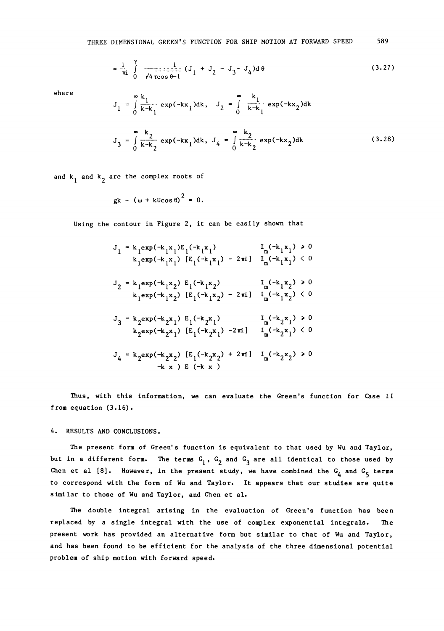$$
= \frac{1}{\pi i} \int_{0}^{\gamma} \frac{1}{\sqrt{4 \cos \theta - 1}} (J_1 + J_2 - J_3 - J_4) d\theta
$$
 (3.27)

 $\mathbf{a}$   $\mathbf{b}$ 

where

$$
J_1 = \int_0^\infty \frac{k_1}{k - k_1} \exp(-kx_1) dk, \quad J_2 = \int_0^\infty \frac{k_1}{k - k_1} \exp(-kx_2) dk
$$
  

$$
J_3 = \int_0^\infty \frac{k_2}{k - k_2} \exp(-kx_1) dk, \quad J_4 = \int_0^\infty \frac{k_2}{k - k_2} \exp(-kx_2) dk
$$
 (3.28)

and k<sub>1</sub> and k<sub>2</sub> are the complex roots of

 $\sim$   $\sim$   $\sim$ 

$$
gk - (\omega + kU\cos\theta)^2 = 0.
$$

Using the contour in Figure 2, it can be easily shown that

$$
J_{1} = k_{1} exp(-k_{1}x_{1}) E_{1}(-k_{1}x_{1}) \t I_{m}(-k_{1}x_{1}) > 0
$$
  
\n
$$
k_{1} exp(-k_{1}x_{1}) [E_{1}(-k_{1}x_{1}) - 2\pi i] I_{m}(-k_{1}x_{1}) < 0
$$
  
\n
$$
J_{2} = k_{1} exp(-k_{1}x_{2}) E_{1}(-k_{1}x_{2}) \t I_{m}(-k_{1}x_{2}) > 0
$$
  
\n
$$
k_{1} exp(-k_{1}x_{2}) [E_{1}(-k_{1}x_{2}) - 2\pi i] I_{m}(-k_{1}x_{2}) < 0
$$
  
\n
$$
J_{3} = k_{2} exp(-k_{2}x_{1}) E_{1}(-k_{2}x_{1}) \t I_{m}(-k_{2}x_{1}) > 0
$$
  
\n
$$
k_{2} exp(-k_{2}x_{1}) [E_{1}(-k_{2}x_{1}) - 2\pi i] I_{m}(-k_{2}x_{1}) < 0
$$
  
\n
$$
J_{4} = k_{2} exp(-k_{2}x_{2}) [E_{1}(-k_{2}x_{2}) + 2\pi i] I_{m}(-k_{2}x_{2}) > 0
$$
  
\n
$$
-k_{x} p E(-k_{x})
$$

Thus, with this information, we can evaluate the Green's function for Case II from equation (3.16).

4. RESULTS AND CONCLUSIONS.

The present form of Green's function is equivalent to that used by Wu and Taylor, but in a different form. The terms  $\textsf{G}_{\textbf{1}}$ ,  $\textsf{G}_{\textbf{2}}$  and  $\textsf{G}_{\textbf{3}}$  are all identical to those used by Chen et al [8]. However, in the present study, we have combined the  $\texttt{G}_{\texttt{4}}$  and  $\texttt{G}_{\texttt{5}}$  terms to correspond with the form of Wu and Taylor. It appears that our studies are quite similar to those of Wu and Taylor, and Chen et al.

The double integral arising in the evaluation of Green's function has been replaced by a single integral with the use of complex exponential integrals. The present work has provided an alternative form but similar to that of Wu and Taylor, and has been found to be efficient for the analysis of the three dimensional potential problem of ship motion with forward speed.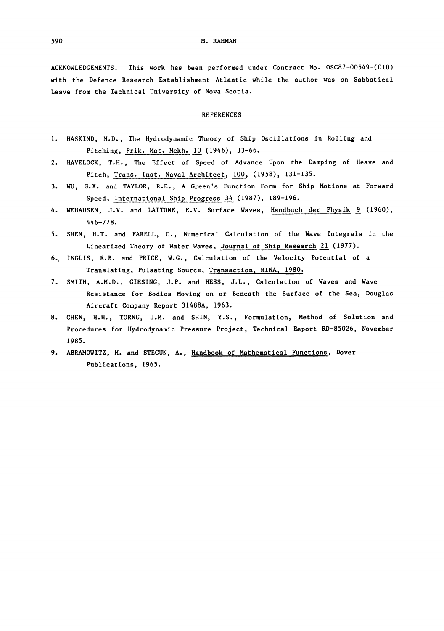590 M. RAHMAN

ACKNOWLEDGEMENTS. This work has been performed under Contract No. OSC87-00549-(010) with the Defence Research Establishment Atlantic while the author was on Sabbatical Leave from the Technical University of Nova Scotia.

#### REFERENCES

- I. HASKIND, M.D., The Hydrodynamic Theory of Ship Oscillations in Rolling and Pitching, Prik. Mat. Mekh. I0 (1946), 33-66.
- 2. HAVELOCK, T.H., The Effect of Speed of Advance Upon the Damping of Heave and Pitch, Trans. Inst. Naval Architect, I00, (1958), 131-135.
- 3. WU, G.X. and TAYLOR, R.E., A Green's Function Form for Ship Motions at Forward Speed, International Ship Progress 34 (1987), 189-196.
- 4. WEHAUSEN, J.V. and LAITONE, E.V. Surface Waves, Handbuch der Physik 9 (1960), 446-778.
- 5. SHEN, H.T. and FARELL, C., Numerical Calculation of the Wave Integrals in the Linearized Theory of Water Waves, Journal of Ship Research 21 (1977).
- 6., INGLIS, R.B. and PRICE, W.G., Calculation of the Velocity Potential of a Translating, Pulsating Source, Transaction, RINA, 1980.
- 7. SMITH, A.M.D., GIESING, J.P. and HESS, J.L., Calculation of Waves and Wave Resistance for Bodies Moving on or Beneath the Surface of the Sea, Douglas Aircraft Company Report 31488A, 1963.
- 8. CHEN, H.H., TORNG, J.M. and SHIN, Y.S., Formulation, Method of Solution and Procedures for Hydrodynamic Pressure Project, Technical Report RD-85026, November 1985.
- 9. ABRAMOWITZ, M. and STEGUN, A., Handbook of Mathematical Functions, Dover Publications, 1965.